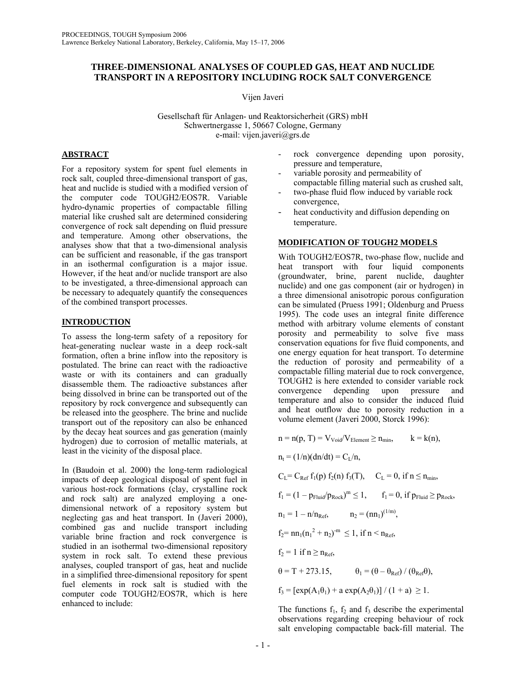# **THREE-DIMENSIONAL ANALYSES OF COUPLED GAS, HEAT AND NUCLIDE TRANSPORT IN A REPOSITORY INCLUDING ROCK SALT CONVERGENCE**

Vijen Javeri

Gesellschaft für Anlagen- und Reaktorsicherheit (GRS) mbH Schwertnergasse 1, 50667 Cologne, Germany e-mail: vijen.javeri@grs.de

# **ABSTRACT**

For a repository system for spent fuel elements in rock salt, coupled three-dimensional transport of gas, heat and nuclide is studied with a modified version of the computer code TOUGH2/EOS7R. Variable hydro-dynamic properties of compactable filling material like crushed salt are determined considering convergence of rock salt depending on fluid pressure and temperature. Among other observations, the analyses show that that a two-dimensional analysis can be sufficient and reasonable, if the gas transport in an isothermal configuration is a major issue. However, if the heat and/or nuclide transport are also to be investigated, a three-dimensional approach can be necessary to adequately quantify the consequences of the combined transport processes.

## **INTRODUCTION**

To assess the long-term safety of a repository for heat-generating nuclear waste in a deep rock-salt formation, often a brine inflow into the repository is postulated. The brine can react with the radioactive waste or with its containers and can gradually disassemble them. The radioactive substances after being dissolved in brine can be transported out of the repository by rock convergence and subsequently can be released into the geosphere. The brine and nuclide transport out of the repository can also be enhanced by the decay heat sources and gas generation (mainly hydrogen) due to corrosion of metallic materials, at least in the vicinity of the disposal place.

In (Baudoin et al. 2000) the long-term radiological impacts of deep geological disposal of spent fuel in various host-rock formations (clay, crystalline rock and rock salt) are analyzed employing a onedimensional network of a repository system but neglecting gas and heat transport. In (Javeri 2000), combined gas and nuclide transport including variable brine fraction and rock convergence is studied in an isothermal two-dimensional repository system in rock salt. To extend these previous analyses, coupled transport of gas, heat and nuclide in a simplified three-dimensional repository for spent fuel elements in rock salt is studied with the computer code TOUGH2/EOS7R, which is here enhanced to include:

- rock convergence depending upon porosity, pressure and temperature,
- variable porosity and permeability of compactable filling material such as crushed salt,
- two-phase fluid flow induced by variable rock convergence,
- heat conductivity and diffusion depending on temperature.

### **MODIFICATION OF TOUGH2 MODELS**

With TOUGH2/EOS7R, two-phase flow, nuclide and heat transport with four liquid components (groundwater, brine, parent nuclide, daughter nuclide) and one gas component (air or hydrogen) in a three dimensional anisotropic porous configuration can be simulated (Pruess 1991; Oldenburg and Pruess 1995). The code uses an integral finite difference method with arbitrary volume elements of constant porosity and permeability to solve five mass conservation equations for five fluid components, and one energy equation for heat transport. To determine the reduction of porosity and permeability of a compactable filling material due to rock convergence, TOUGH2 is here extended to consider variable rock convergence depending upon pressure and temperature and also to consider the induced fluid and heat outflow due to porosity reduction in a volume element (Javeri 2000, Storck 1996):

$$
n = n(p, T) = V_{\text{void}} / V_{\text{Element}} \ge n_{\text{min}}, \qquad k = k(n),
$$
\n
$$
n_{t} = (1/n)(dn/dt) = C_{L}/n,
$$
\n
$$
C_{L} = C_{\text{Ref}} f_{1}(p) f_{2}(n) f_{3}(T), \qquad C_{L} = 0, \text{ if } n \le n_{\text{min}},
$$
\n
$$
f_{1} = (1 - p_{\text{Fluid}} / p_{\text{Rock}})^{m} \le 1, \qquad f_{1} = 0, \text{ if } p_{\text{fluid}} \ge p_{\text{Rock}},
$$
\n
$$
n_{1} = 1 - n/n_{\text{Ref}}, \qquad n_{2} = (n n_{1})^{(1/m)},
$$
\n
$$
f_{2} = n n_{1} (n_{1}^{2} + n_{2})^{-m} \le 1, \text{ if } n < n_{\text{Ref}},
$$
\n
$$
f_{2} = 1 \text{ if } n \ge n_{\text{Ref}},
$$
\n
$$
\theta = T + 273.15, \qquad \theta_{1} = (\theta - \theta_{\text{Ref}}) / (\theta_{\text{Ref}} \theta),
$$
\n
$$
f_{3} = [\exp(A_{1}\theta_{1}) + a \exp(A_{2}\theta_{1})] / (1 + a) \ge 1.
$$

The functions  $f_1$ ,  $f_2$  and  $f_3$  describe the experimental observations regarding creeping behaviour of rock salt enveloping compactable back-fill material. The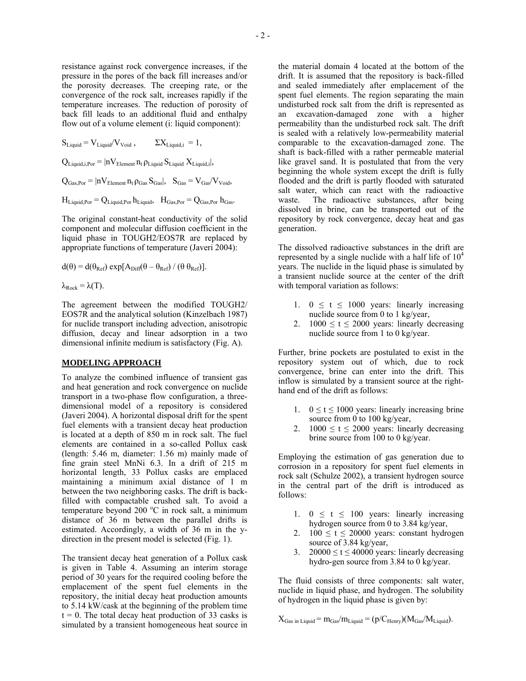resistance against rock convergence increases, if the pressure in the pores of the back fill increases and/or the porosity decreases. The creeping rate, or the convergence of the rock salt, increases rapidly if the temperature increases. The reduction of porosity of back fill leads to an additional fluid and enthalpy flow out of a volume element (i: liquid component):

 $S_{\text{Liquid}} = V_{\text{Liquid}} / V_{\text{Void}}$ ,  $\Sigma X_{\text{Liquidi}} = 1$ ,

 $Q_{\text{Liouid i Por}} = |nV_{\text{Element}} n_{\text{t}} \rho_{\text{Liouid}} S_{\text{Liouid}} X_{\text{Liouid i}}|,$ 

 $Q_{\text{Gas-Por}} = |nV_{\text{Element}} n_t \rho_{\text{Gas}} S_{\text{Gas}}|, \quad S_{\text{Gas}} = V_{\text{Gas}}/V_{\text{void}},$ 

 $H_{\text{Liauid Por}} = Q_{\text{Liauid Por}} h_{\text{Liauid}}$ ,  $H_{\text{Gas Por}} = Q_{\text{Gas Por}} h_{\text{Gas}}$ .

The original constant-heat conductivity of the solid component and molecular diffusion coefficient in the liquid phase in TOUGH2/EOS7R are replaced by appropriate functions of temperature (Javeri 2004):

$$
d(\theta) = d(\theta_{Ref}) \exp[A_{Diff}(\theta - \theta_{Ref}) / (\theta \theta_{Ref})].
$$
  

$$
\lambda_{Rock} = \lambda(T).
$$

The agreement between the modified TOUGH2/ EOS7R and the analytical solution (Kinzelbach 1987) for nuclide transport including advection, anisotropic diffusion, decay and linear adsorption in a two dimensional infinite medium is satisfactory (Fig. A).

#### **MODELING APPROACH**

To analyze the combined influence of transient gas and heat generation and rock convergence on nuclide transport in a two-phase flow configuration, a threedimensional model of a repository is considered (Javeri 2004). A horizontal disposal drift for the spent fuel elements with a transient decay heat production is located at a depth of 850 m in rock salt. The fuel elements are contained in a so-called Pollux cask (length: 5.46 m, diameter: 1.56 m) mainly made of fine grain steel MnNi 6.3. In a drift of 215 m horizontal length, 33 Pollux casks are emplaced maintaining a minimum axial distance of 1 m between the two neighboring casks. The drift is backfilled with compactable crushed salt. To avoid a temperature beyond 200  $^{\circ}$ C in rock salt, a minimum distance of 36 m between the parallel drifts is estimated. Accordingly, a width of 36 m in the ydirection in the present model is selected (Fig. 1).

The transient decay heat generation of a Pollux cask is given in Table 4. Assuming an interim storage period of 30 years for the required cooling before the emplacement of the spent fuel elements in the repository, the initial decay heat production amounts to 5.14 kW/cask at the beginning of the problem time  $t = 0$ . The total decay heat production of 33 casks is simulated by a transient homogeneous heat source in the material domain 4 located at the bottom of the drift. It is assumed that the repository is back-filled and sealed immediately after emplacement of the spent fuel elements. The region separating the main undisturbed rock salt from the drift is represented as an excavation-damaged zone with a higher permeability than the undisturbed rock salt. The drift is sealed with a relatively low-permeability material comparable to the excavation-damaged zone. The shaft is back-filled with a rather permeable material like gravel sand. It is postulated that from the very beginning the whole system except the drift is fully flooded and the drift is partly flooded with saturated salt water, which can react with the radioactive waste. The radioactive substances, after being dissolved in brine, can be transported out of the repository by rock convergence, decay heat and gas generation.

The dissolved radioactive substances in the drift are represented by a single nuclide with a half life of  $10<sup>4</sup>$ years. The nuclide in the liquid phase is simulated by a transient nuclide source at the center of the drift with temporal variation as follows:

- 1.  $0 \le t \le 1000$  years: linearly increasing nuclide source from 0 to 1 kg/year,
- 2.  $1000 \le t \le 2000$  years: linearly decreasing nuclide source from 1 to 0 kg/year.

Further, brine pockets are postulated to exist in the repository system out of which, due to rock convergence, brine can enter into the drift. This inflow is simulated by a transient source at the righthand end of the drift as follows:

- 1.  $0 \le t \le 1000$  years: linearly increasing brine source from 0 to 100 kg/year,
- 2.  $1000 \le t \le 2000$  years: linearly decreasing brine source from 100 to 0 kg/year.

Employing the estimation of gas generation due to corrosion in a repository for spent fuel elements in rock salt (Schulze 2002), a transient hydrogen source in the central part of the drift is introduced as follows:

- 1.  $0 \leq t \leq 100$  years: linearly increasing hydrogen source from 0 to 3.84 kg/year,
- 2.  $100 \le t \le 20000$  years: constant hydrogen source of 3.84 kg/year,
- 3. 20000  $\le t \le 40000$  years: linearly decreasing hydro-gen source from 3.84 to 0 kg/year.

The fluid consists of three components: salt water, nuclide in liquid phase, and hydrogen. The solubility of hydrogen in the liquid phase is given by:

 $X_{\text{Gas in Liquid}} = m_{\text{Gas}}/m_{\text{Liquid}} = (p/C_{\text{Henry}})(M_{\text{Gas}}/M_{\text{Liquid}}).$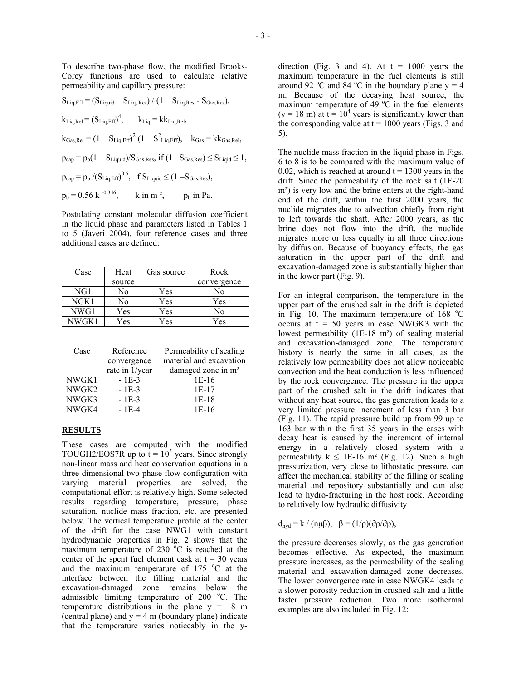To describe two-phase flow, the modified Brooks-Corey functions are used to calculate relative permeability and capillary pressure:

 $S_{\text{Liq,Eff}} = (S_{\text{Liquid}} - S_{\text{Liq},\text{Res}}) / (1 - S_{\text{Liq},\text{Res}} - S_{\text{Gas},\text{Res}}),$  $k_{\text{Liq},\text{Rel}} = (S_{\text{Liq},\text{Eff}})^4$ ,  $k_{\text{Liq}} = k k_{\text{Liq},\text{Rel}}$ ,  $k_{\text{Gas,Rel}} = (1 - S_{\text{Liq,Eff}})^2 (1 - S_{\text{Liq,Eff}}^2), \quad k_{\text{Gas}} = k k_{\text{Gas,Rel}},$  $p_{cap} = p_b(1 - S_{\text{Liquid}})/S_{\text{Gas},\text{Res}}$ , if  $(1 - S_{\text{Gas},\text{Res}}) \leq S_{\text{Liquid}} \leq 1$ ,  $p_{cap} = p_b / (S_{Liq, Eff})^{0.5}$ , if  $S_{Liquid} \leq (1 - S_{Gas,Res})$ ,  $p_b = 0.56 \text{ k}^{-0.346}$ , k in m<sup>2</sup>, p<sub>b</sub> in Pa.

Postulating constant molecular diffusion coefficient in the liquid phase and parameters listed in Tables 1 to 5 (Javeri 2004), four reference cases and three additional cases are defined:

| Case          | Heat   | Gas source | Rock        |
|---------------|--------|------------|-------------|
|               | source |            | convergence |
| NG1           | No     | Yes        | No          |
| NGK1          | No     | Yes        | Yes         |
| NWG1          | Yes    | Yes        | No          |
| <b>NWGK 1</b> | Yes    | Yes        | Yes         |

| Case  | Reference      | Permeability of sealing        |
|-------|----------------|--------------------------------|
|       | convergence    | material and excavation        |
|       | rate in 1/year | damaged zone in m <sup>2</sup> |
| NWGK1 | $-1E-3$        | $1E-16$                        |
| NWGK2 | $-1E-3$        | 1E-17                          |
| NWGK3 | $-1E-3$        | $1E-18$                        |
| NWGK4 | $-1E-4$        | 1E-16                          |

#### **RESULTS**

These cases are computed with the modified TOUGH2/EOS7R up to  $t = 10^5$  years. Since strongly non-linear mass and heat conservation equations in a three-dimensional two-phase flow configuration with varying material properties are solved, the computational effort is relatively high. Some selected results regarding temperature, pressure, phase saturation, nuclide mass fraction, etc. are presented below. The vertical temperature profile at the center of the drift for the case NWG1 with constant hydrodynamic properties in Fig. 2 shows that the maximum temperature of 230  $\degree$ C is reached at the center of the spent fuel element cask at  $t = 30$  years and the maximum temperature of  $175 \degree C$  at the interface between the filling material and the excavation-damaged zone remains below the admissible limiting temperature of 200 °C. The temperature distributions in the plane  $y = 18$  m (central plane) and  $y = 4$  m (boundary plane) indicate that the temperature varies noticeably in the ydirection (Fig. 3 and 4). At  $t = 1000$  years the maximum temperature in the fuel elements is still around 92 °C and 84 °C in the boundary plane  $y = 4$ m. Because of the decaying heat source, the maximum temperature of 49  $^{\circ}$ C in the fuel elements  $(y = 18 \text{ m})$  at  $t = 10^4$  years is significantly lower than the corresponding value at  $t = 1000$  years (Figs. 3 and 5).

The nuclide mass fraction in the liquid phase in Figs. 6 to 8 is to be compared with the maximum value of 0.02, which is reached at around  $t = 1300$  years in the drift. Since the permeability of the rock salt (1E-20 m<sup>2</sup>) is very low and the brine enters at the right-hand end of the drift, within the first 2000 years, the nuclide migrates due to advection chiefly from right to left towards the shaft. After 2000 years, as the brine does not flow into the drift, the nuclide migrates more or less equally in all three directions by diffusion. Because of buoyancy effects, the gas saturation in the upper part of the drift and excavation-damaged zone is substantially higher than in the lower part (Fig. 9).

For an integral comparison, the temperature in the upper part of the crushed salt in the drift is depicted in Fig. 10. The maximum temperature of  $168 \text{ °C}$ occurs at  $t = 50$  years in case NWGK3 with the lowest permeability (1E-18 m²) of sealing material and excavation-damaged zone. The temperature history is nearly the same in all cases, as the relatively low permeability does not allow noticeable convection and the heat conduction is less influenced by the rock convergence. The pressure in the upper part of the crushed salt in the drift indicates that without any heat source, the gas generation leads to a very limited pressure increment of less than 3 bar (Fig. 11). The rapid pressure build up from 99 up to 163 bar within the first 35 years in the cases with decay heat is caused by the increment of internal energy in a relatively closed system with a permeability  $k \le 1E-16$  m<sup>2</sup> (Fig. 12). Such a high pressurization, very close to lithostatic pressure, can affect the mechanical stability of the filling or sealing material and repository substantially and can also lead to hydro-fracturing in the host rock. According to relatively low hydraulic diffusivity

 $d_{\text{hvd}} = k / (n\mu\beta), \quad \beta = (1/\rho)(\partial \rho/\partial p),$ 

the pressure decreases slowly, as the gas generation becomes effective. As expected, the maximum pressure increases, as the permeability of the sealing material and excavation-damaged zone decreases. The lower convergence rate in case NWGK4 leads to a slower porosity reduction in crushed salt and a little faster pressure reduction. Two more isothermal examples are also included in Fig. 12: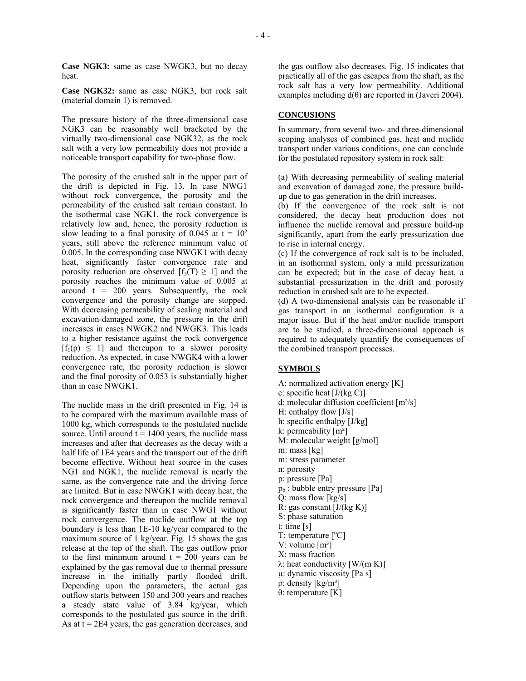**Case NGK3:** same as case NWGK3, but no decay heat.

**Case NGK32:** same as case NGK3, but rock salt (material domain 1) is removed.

The pressure history of the three-dimensional case NGK3 can be reasonably well bracketed by the virtually two-dimensional case NGK32, as the rock salt with a very low permeability does not provide a noticeable transport capability for two-phase flow.

The porosity of the crushed salt in the upper part of the drift is depicted in Fig. 13. In case NWG1 without rock convergence, the porosity and the permeability of the crushed salt remain constant. In the isothermal case NGK1, the rock convergence is relatively low and, hence, the porosity reduction is slow leading to a final porosity of 0.045 at  $t = 10<sup>5</sup>$ years, still above the reference minimum value of 0.005. In the corresponding case NWGK1 with decay heat, significantly faster convergence rate and porosity reduction are observed  $[f_3(T) \geq 1]$  and the porosity reaches the minimum value of 0.005 at around  $t = 200$  years. Subsequently, the rock convergence and the porosity change are stopped. With decreasing permeability of sealing material and excavation-damaged zone, the pressure in the drift increases in cases NWGK2 and NWGK3. This leads to a higher resistance against the rock convergence  $[f_1(p) \leq 1]$  and thereupon to a slower porosity reduction. As expected, in case NWGK4 with a lower convergence rate, the porosity reduction is slower and the final porosity of 0.053 is substantially higher than in case NWGK1.

The nuclide mass in the drift presented in Fig. 14 is to be compared with the maximum available mass of 1000 kg, which corresponds to the postulated nuclide source. Until around  $t = 1400$  years, the nuclide mass increases and after that decreases as the decay with a half life of 1E4 years and the transport out of the drift become effective. Without heat source in the cases NG1 and NGK1, the nuclide removal is nearly the same, as the convergence rate and the driving force are limited. But in case NWGK1 with decay heat, the rock convergence and thereupon the nuclide removal is significantly faster than in case NWG1 without rock convergence. The nuclide outflow at the top boundary is less than 1E-10 kg/year compared to the maximum source of 1 kg/year. Fig. 15 shows the gas release at the top of the shaft. The gas outflow prior to the first minimum around  $t = 200$  years can be explained by the gas removal due to thermal pressure increase in the initially partly flooded drift. Depending upon the parameters, the actual gas outflow starts between 150 and 300 years and reaches a steady state value of 3.84 kg/year, which corresponds to the postulated gas source in the drift. As at  $t = 2E4$  years, the gas generation decreases, and

the gas outflow also decreases. Fig. 15 indicates that practically all of the gas escapes from the shaft, as the rock salt has a very low permeability. Additional examples including  $d(\theta)$  are reported in (Javeri 2004).

#### **CONCUSIONS**

In summary, from several two- and three-dimensional scoping analyses of combined gas, heat and nuclide transport under various conditions, one can conclude for the postulated repository system in rock salt:

(a) With decreasing permeability of sealing material and excavation of damaged zone, the pressure buildup due to gas generation in the drift increases.

(b) If the convergence of the rock salt is not considered, the decay heat production does not influence the nuclide removal and pressure build-up significantly, apart from the early pressurization due to rise in internal energy.

(c) If the convergence of rock salt is to be included, in an isothermal system, only a mild pressurization can be expected; but in the case of decay heat, a substantial pressurization in the drift and porosity reduction in crushed salt are to be expected.

(d) A two-dimensional analysis can be reasonable if gas transport in an isothermal configuration is a major issue. But if the heat and/or nuclide transport are to be studied, a three-dimensional approach is required to adequately quantify the consequences of the combined transport processes.

## **SYMBOLS**

A: normalized activation energy [K] c: specific heat  $[J/(kg C)]$ d: molecular diffusion coefficient [m²/s] H: enthalpy flow [J/s] h: specific enthalpy [J/kg] k: permeability [m²] M: molecular weight [g/mol] m: mass [kg] m: stress parameter n: porosity p: pressure [Pa]  $p_b$ : bubble entry pressure [Pa] Q: mass flow [kg/s] R: gas constant  $[J/(kg K)]$ S: phase saturation t: time [s]  $T:$  temperature  $[^{\circ}C]$ V: volume  $[m^3]$ X: mass fraction  $λ$ : heat conductivity [W/(m K)] µ: dynamic viscosity [Pa s]  $ρ:$  density [kg/m<sup>3</sup>] θ: temperature [K]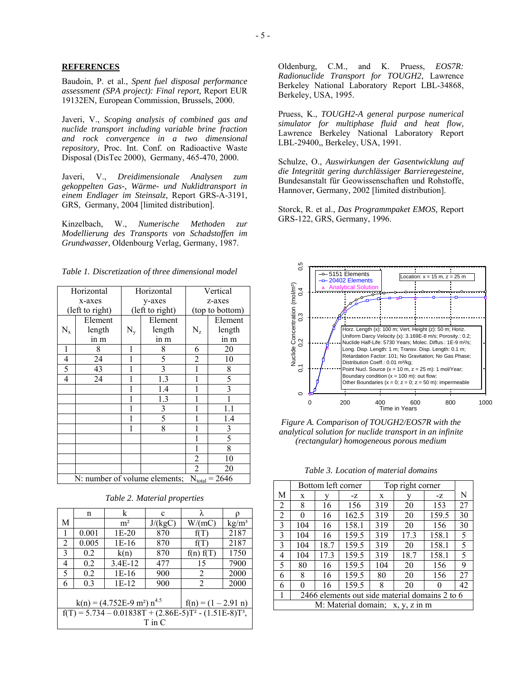### **REFERENCES**

Baudoin, P. et al., *Spent fuel disposal performance assessment (SPA project): Final report,* Report EUR 19132EN, European Commission, Brussels, 2000.

Javeri, V., *Scoping analysis of combined gas and nuclide transport including variable brine fraction and rock convergence in a two dimensional repository,* Proc. Int. Conf. on Radioactive Waste Disposal (DisTec 2000), Germany, 465-470, 2000.

Javeri, V., *Dreidimensionale Analysen zum gekoppelten Gas-, Wärme- und Nuklidtransport in einem Endlager im Steinsalz,* Report GRS-A-3191, GRS, Germany, 2004 [limited distribution].

Kinzelbach, W., *Numerische Methoden zur Modellierung des Transports von Schadstoffen im Grundwasser,* Oldenbourg Verlag, Germany, 1987.

*Table 1. Discretization of three dimensional model* 

| Horizontal                                                      |         | Horizontal      |                | Vertical        |                |
|-----------------------------------------------------------------|---------|-----------------|----------------|-----------------|----------------|
| x-axes                                                          |         | y-axes          |                | z-axes          |                |
| (left to right)                                                 |         | (left to right) |                | (top to bottom) |                |
|                                                                 | Element |                 | Element        |                 | Element        |
| $N_{x}$                                                         | length  | $N_{\rm y}$     | length         | $N_{z}$         | length         |
|                                                                 | in m    |                 | in m           |                 | in m           |
| 1                                                               | 8       | 1               | 8              | 6               | 20             |
| $\overline{\mathcal{L}}$                                        | 24      |                 | 5              | $\overline{c}$  | 10             |
| 5                                                               | 43      |                 | $\overline{3}$ |                 | 8              |
| 4                                                               | 24      |                 | 1.3            | 1               | 5              |
|                                                                 |         |                 | 1.4            |                 | 3              |
|                                                                 |         | 1               | 1.3            |                 |                |
|                                                                 |         | 1               | 3              |                 | 1.1            |
|                                                                 |         | 1               | 5              |                 | 1.4            |
|                                                                 |         |                 | 8              |                 | $\mathfrak{Z}$ |
|                                                                 |         |                 |                |                 | 5              |
|                                                                 |         |                 |                | 1               | 8              |
|                                                                 |         |                 |                | 2               | 10             |
|                                                                 |         |                 |                | 2               | 20             |
| N: number of volume elements;<br>$= 2646$<br>$N_{\text{total}}$ |         |                 |                |                 |                |

*Table 2. Material properties* 

|                                                                       | n     | k              | c       | λ         |                   |  |
|-----------------------------------------------------------------------|-------|----------------|---------|-----------|-------------------|--|
| M                                                                     |       | m <sup>2</sup> | J/(kgC) | W/(mC)    | kg/m <sup>3</sup> |  |
| 1                                                                     | 0.001 | $1E-20$        | 870     | f(T)      | 2187              |  |
| 2                                                                     | 0.005 | 1E-16          | 870     | f(T)      | 2187              |  |
| 3                                                                     | 0.2   | k(n)           | 870     | f(n) f(T) | 1750              |  |
| 4                                                                     | 0.2   | 3.4E-12        | 477     | 15        | 7900              |  |
| 5                                                                     | 0.2   | $1E-16$        | 900     | 2         | 2000              |  |
| 6                                                                     | 0.3   | $1E-12$        | 900     | 2         | 2000              |  |
| $k(n) = (4.752E-9 m^2) n^{4.5}$<br>$f(n) = (1 - 2.91 n)$              |       |                |         |           |                   |  |
| $f(T) = 5.734 - 0.01838T + (2.86E-5)T^2 - (1.51E-8)T^3$<br>$T$ in $C$ |       |                |         |           |                   |  |

Oldenburg, C.M., and K. Pruess, *EOS7R: Radionuclide Transport for TOUGH2*, Lawrence Berkeley National Laboratory Report LBL-34868, Berkeley, USA, 1995.

Pruess, K., *TOUGH2-A general purpose numerical simulator for multiphase fluid and heat flow,*  Lawrence Berkeley National Laboratory Report LBL-29400,, Berkeley, USA, 1991.

Schulze, O., *Auswirkungen der Gasentwicklung auf die Integrität gering durchlässiger Barrieregesteine,* Bundesanstalt für Geowissenschaften und Rohstoffe, Hannover, Germany, 2002 [limited distribution].

Storck, R. et al., *Das Programmpaket EMOS,* Report GRS-122, GRS, Germany, 1996.



*Figure A. Comparison of TOUGH2/EOS7R with the analytical solution for nuclide transport in an infinite (rectangular) homogeneous porous medium*

*Table 3. Location of material domains*

|                                                | Bottom left corner |      | Top right corner |     |      |       |    |
|------------------------------------------------|--------------------|------|------------------|-----|------|-------|----|
| М                                              | X                  |      | $-Z$             | X   |      | $-Z$  | N  |
| 2                                              | 8                  | 16   | 156              | 319 | 20   | 153   | 27 |
| 2                                              | 0                  | 16   | 162.5            | 319 | 20   | 159.5 | 30 |
| 3                                              | 104                | 16   | 158.1            | 319 | 20   | 156   | 30 |
| 3                                              | 104                | 16   | 159.5            | 319 | 17.3 | 158.1 | 5  |
| 3                                              | 104                | 18.7 | 159.5            | 319 | 20   | 158.1 | 5  |
| 4                                              | 104                | 17.3 | 159.5            | 319 | 18.7 | 158.1 | 5  |
| 5                                              | 80                 | 16   | 159.5            | 104 | 20   | 156   | 9  |
| 6                                              | 8                  | 16   | 159.5            | 80  | 20   | 156   | 27 |
| 6                                              | 0                  | 16   | 159.5            | 8   | 20   | 0     | 42 |
| 2466 elements out side material domains 2 to 6 |                    |      |                  |     |      |       |    |
| M: Material domain; x, y, z in m               |                    |      |                  |     |      |       |    |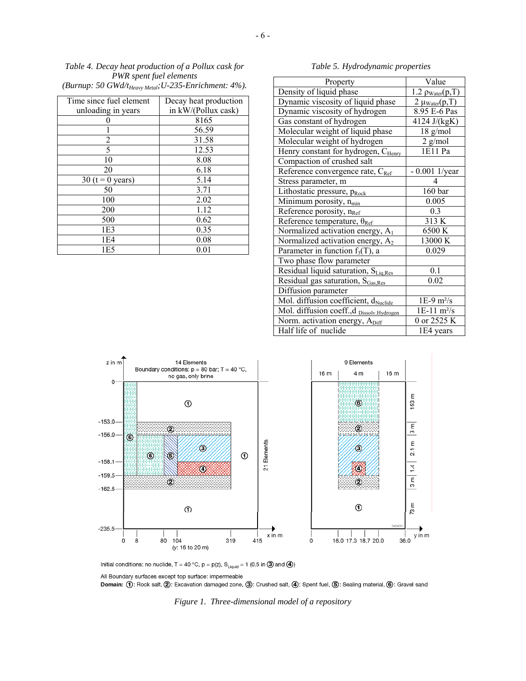*Table 4. Decay heat production of a Pollux cask for PWR spent fuel elements* 

 $-6 -$ 

*(Burnup: 50 GWd/tHeavy Metal;U-235-Enrichment: 4%).*

| Time since fuel element | Decay heat production |
|-------------------------|-----------------------|
| unloading in years      | in kW/(Pollux cask)   |
|                         | 8165                  |
|                         | 56.59                 |
| 2                       | 31.58                 |
| 5                       | 12.53                 |
| 10                      | 8.08                  |
| 20                      | 6.18                  |
| 30 ( $t = 0$ years)     | 5.14                  |
| 50                      | 3.71                  |
| 100                     | 2.02                  |
| 200                     | 1.12                  |
| 500                     | 0.62                  |
| 1E <sub>3</sub>         | 0.35                  |
| 1E4                     | 0.08                  |
| 1E5                     | 0.01                  |

*Table 5. Hydrodynamic properties* 

| Property                                        | Value                        |  |  |
|-------------------------------------------------|------------------------------|--|--|
| Density of liquid phase                         | $1.2 \rho_{Water}(p,T)$      |  |  |
| Dynamic viscosity of liquid phase               | $2 \mu_{Water}(p,T)$         |  |  |
| Dynamic viscosity of hydrogen                   | 8.95 E-6 Pas                 |  |  |
| Gas constant of hydrogen                        | 4124 J/(kgK)                 |  |  |
| Molecular weight of liquid phase                | $18$ g/mol                   |  |  |
| Molecular weight of hydrogen                    | $2$ g/mol                    |  |  |
| Henry constant for hydrogen, C <sub>Henry</sub> | 1E11 Pa                      |  |  |
| Compaction of crushed salt                      |                              |  |  |
| Reference convergence rate, C <sub>Ref</sub>    | $-0.001$ 1/year              |  |  |
| Stress parameter, m                             | 4                            |  |  |
| Lithostatic pressure, p <sub>Rock</sub>         | 160 bar                      |  |  |
| Minimum porosity, n <sub>min</sub>              | 0.005                        |  |  |
| Reference porosity, n <sub>Ref</sub>            | 0.3                          |  |  |
| Reference temperature, $\theta_{Ref}$           | 313 K                        |  |  |
| Normalized activation energy, A <sub>1</sub>    | 6500 K                       |  |  |
| Normalized activation energy, A <sub>2</sub>    | 13000 K                      |  |  |
| Parameter in function $f_3(T)$ , a              | 0.029                        |  |  |
| Two phase flow parameter                        |                              |  |  |
| Residual liquid saturation, $S_{Liq,Res}$       | 0.1                          |  |  |
| Residual gas saturation, S <sub>Gas, Res</sub>  | 0.02                         |  |  |
| Diffusion parameter                             |                              |  |  |
| Mol. diffusion coefficient, dNuclide            | $1E-9$ m <sup>2</sup> /s     |  |  |
| Mol. diffusion coeff.,d Dissolv.Hydrogen        | $1E-11 \text{ m}^2/\text{s}$ |  |  |
| Norm. activation energy, A <sub>Diff</sub>      | 0 or 2525 K                  |  |  |
| Half life of nuclide                            | 1E4 years                    |  |  |



Initial conditions: no nuclide, T = 40 °C, p = p(z),  $S_{\text{Liquid}} = 1$  (0.5 in 3 and 4)

All Boundary surfaces except top surface: impermeable

Domain: ①: Rock salt, ②: Excavation damaged zone, ③: Crushed salt, ④: Spent fuel, ⑤: Sealing material, ⑥: Gravel sand

*Figure 1. Three-dimensional model of a repository*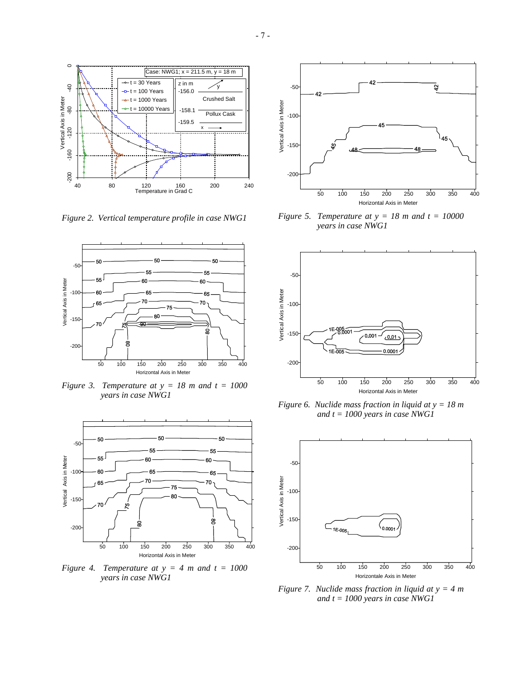

*Figure 2. Vertical temperature profile in case NWG1*



*Figure 3. Temperature at*  $y = 18$  *m and*  $t = 1000$ *years in case NWG1* 



*Figure 4. Temperature at*  $y = 4$  *m and*  $t = 1000$ *years in case NWG1* 



*Figure 5. Temperature at*  $y = 18$  *m and t = 10000 years in case NWG1* 



*Figure 6. Nuclide mass fraction in liquid at y = 18 m and t = 1000 years in case NWG1* 



*Figure 7. Nuclide mass fraction in liquid at y = 4 m and t = 1000 years in case NWG1*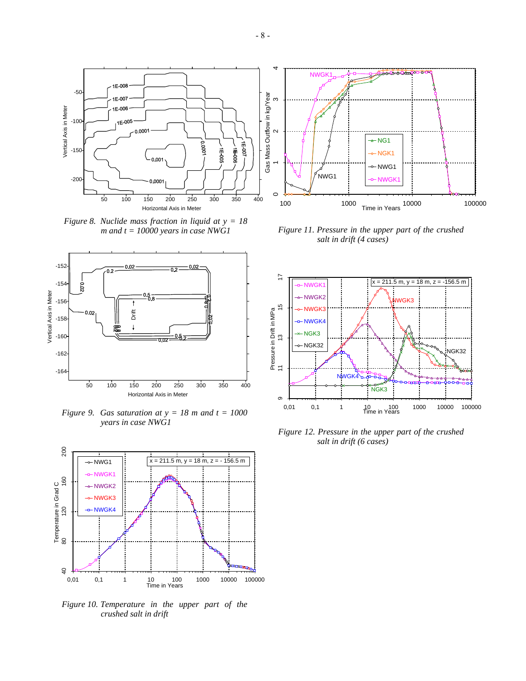

-50

1E-008

1E-007

*Figure 8. Nuclide mass fraction in liquid at y = 18 m and t = 10000 years in case NWG1*



*Figure 9. Gas saturation at*  $y = 18$  *m and t = 1000 years in case NWG1*



*Figure 10. Temperature in the upper part of the crushed salt in drift* 



*Figure 11. Pressure in the upper part of the crushed salt in drift (4 cases)*



*Figure 12. Pressure in the upper part of the crushed salt in drift (6 cases)*